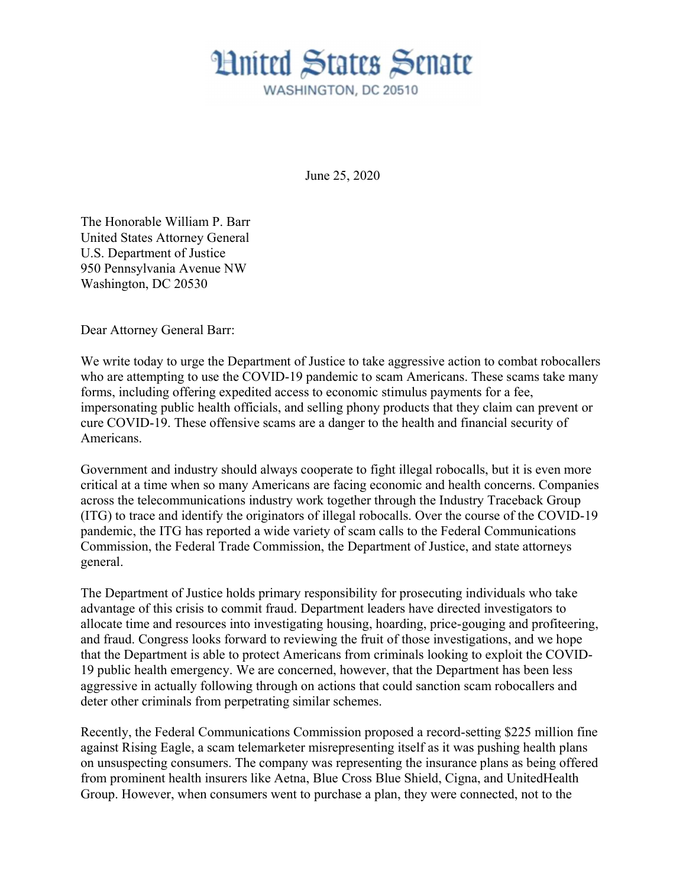June 25, 2020

The Honorable William P. Barr United States Attorney General U.S. Department of Justice 950 Pennsylvania Avenue NW Washington, DC 20530

Dear Attorney General Barr:

We write today to urge the Department of Justice to take aggressive action to combat robocallers who are attempting to use the COVID-19 pandemic to scam Americans. These scams take many forms, including offering expedited access to economic stimulus payments for a fee, impersonating public health officials, and selling phony products that they claim can prevent or cure COVID-19. These offensive scams are a danger to the health and financial security of Americans.

Government and industry should always cooperate to fight illegal robocalls, but it is even more critical at a time when so many Americans are facing economic and health concerns. Companies across the telecommunications industry work together through the Industry Traceback Group (ITG) to trace and identify the originators of illegal robocalls. Over the course of the COVID-19 pandemic, the ITG has reported a wide variety of scam calls to the Federal Communications Commission, the Federal Trade Commission, the Department of Justice, and state attorneys general.

The Department of Justice holds primary responsibility for prosecuting individuals who take advantage of this crisis to commit fraud. Department leaders have directed investigators to allocate time and resources into investigating housing, hoarding, price-gouging and profiteering, and fraud. Congress looks forward to reviewing the fruit of those investigations, and we hope that the Department is able to protect Americans from criminals looking to exploit the COVID-19 public health emergency. We are concerned, however, that the Department has been less aggressive in actually following through on actions that could sanction scam robocallers and deter other criminals from perpetrating similar schemes.

Recently, the Federal Communications Commission proposed a record-setting \$225 million fine against Rising Eagle, a scam telemarketer misrepresenting itself as it was pushing health plans on unsuspecting consumers. The company was representing the insurance plans as being offered from prominent health insurers like Aetna, Blue Cross Blue Shield, Cigna, and UnitedHealth Group. However, when consumers went to purchase a plan, they were connected, not to the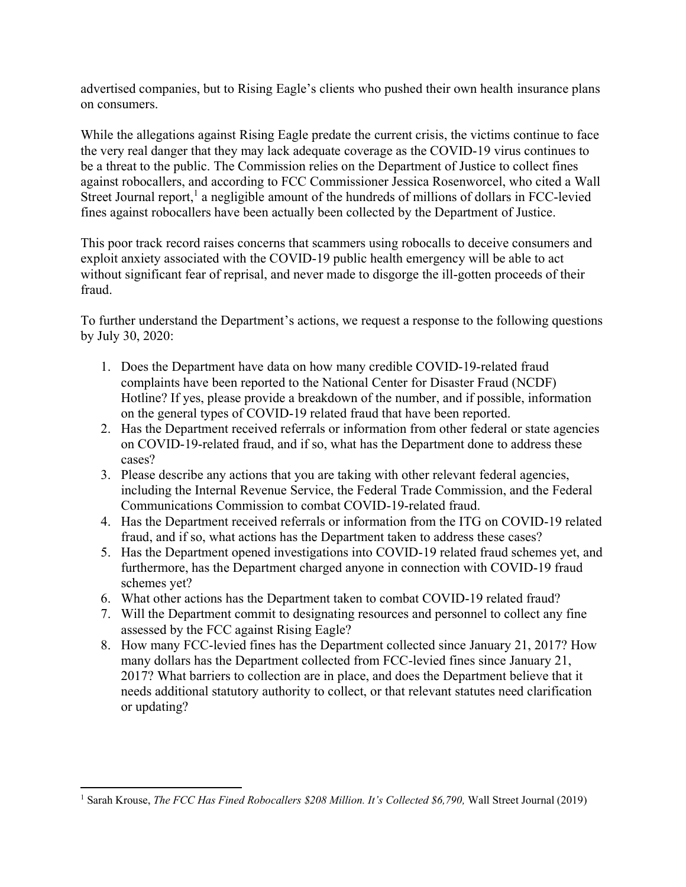advertised companies, but to Rising Eagle's clients who pushed their own health insurance plans on consumers.

While the allegations against Rising Eagle predate the current crisis, the victims continue to face the very real danger that they may lack adequate coverage as the COVID-19 virus continues to be a threat to the public. The Commission relies on the Department of Justice to collect fines against robocallers, and according to FCC Commissioner Jessica Rosenworcel, who cited a Wall Street Journal report,<sup>1</sup> a negligible amount of the hundreds of millions of dollars in FCC-levied fines against robocallers have been actually been collected by the Department of Justice.

This poor track record raises concerns that scammers using robocalls to deceive consumers and exploit anxiety associated with the COVID-19 public health emergency will be able to act without significant fear of reprisal, and never made to disgorge the ill-gotten proceeds of their fraud.

To further understand the Department's actions, we request a response to the following questions by July 30, 2020:

- 1. Does the Department have data on how many credible COVID-19-related fraud complaints have been reported to the National Center for Disaster Fraud (NCDF) Hotline? If yes, please provide a breakdown of the number, and if possible, information on the general types of COVID-19 related fraud that have been reported.
- 2. Has the Department received referrals or information from other federal or state agencies on COVID-19-related fraud, and if so, what has the Department done to address these cases?
- 3. Please describe any actions that you are taking with other relevant federal agencies, including the Internal Revenue Service, the Federal Trade Commission, and the Federal Communications Commission to combat COVID-19-related fraud.
- 4. Has the Department received referrals or information from the ITG on COVID-19 related fraud, and if so, what actions has the Department taken to address these cases?
- 5. Has the Department opened investigations into COVID-19 related fraud schemes yet, and furthermore, has the Department charged anyone in connection with COVID-19 fraud schemes yet?
- 6. What other actions has the Department taken to combat COVID-19 related fraud?
- 7. Will the Department commit to designating resources and personnel to collect any fine assessed by the FCC against Rising Eagle?
- 8. How many FCC-levied fines has the Department collected since January 21, 2017? How many dollars has the Department collected from FCC-levied fines since January 21, 2017? What barriers to collection are in place, and does the Department believe that it needs additional statutory authority to collect, or that relevant statutes need clarification or updating?

<sup>&</sup>lt;sup>1</sup> Sarah Krouse, The FCC Has Fined Robocallers \$208 Million. It's Collected \$6,790, Wall Street Journal (2019)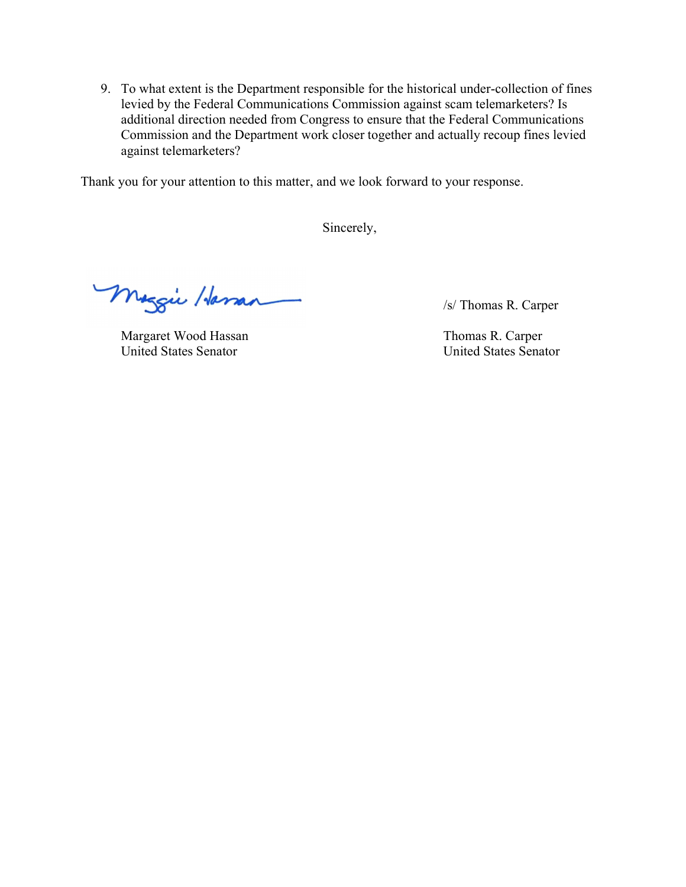9. To what extent is the Department responsible for the historical under-collection of fines levied by the Federal Communications Commission against scam telemarketers? Is additional direction needed from Congress to ensure that the Federal Communications Commission and the Department work closer together and actually recoup fines levied against telemarketers?

Thank you for your attention to this matter, and we look forward to your response.

Sincerely,

Meggie Hassan SI Thomas R. Carper

Margaret Wood Hassan Thomas R. Carper United States Senator United States Senator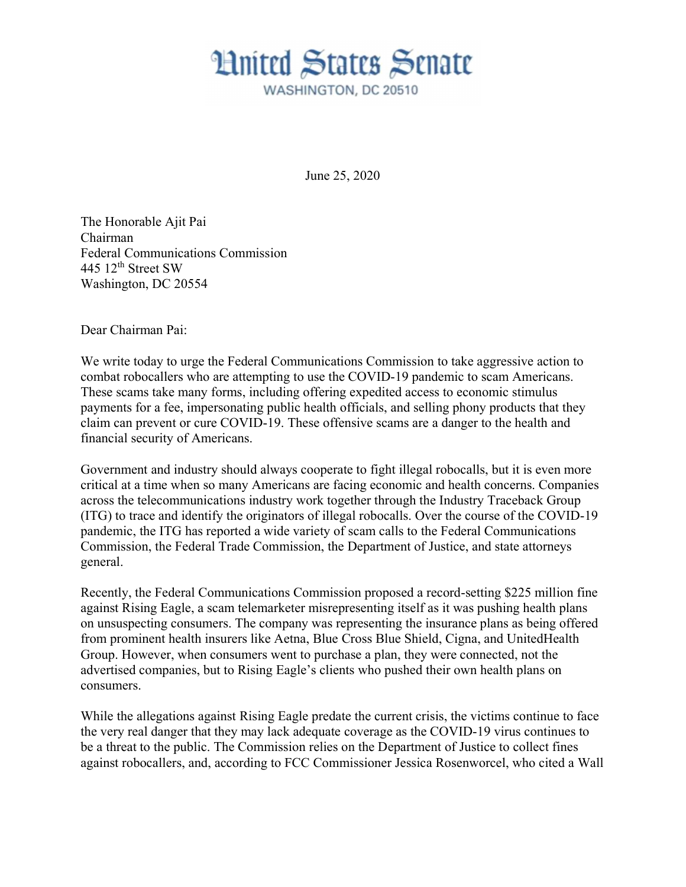June 25, 2020

The Honorable Ajit Pai Chairman Federal Communications Commission 445  $12<sup>th</sup>$  Street SW Washington, DC 20554

Dear Chairman Pai:

We write today to urge the Federal Communications Commission to take aggressive action to combat robocallers who are attempting to use the COVID-19 pandemic to scam Americans. These scams take many forms, including offering expedited access to economic stimulus payments for a fee, impersonating public health officials, and selling phony products that they claim can prevent or cure COVID-19. These offensive scams are a danger to the health and financial security of Americans.

Government and industry should always cooperate to fight illegal robocalls, but it is even more critical at a time when so many Americans are facing economic and health concerns. Companies across the telecommunications industry work together through the Industry Traceback Group (ITG) to trace and identify the originators of illegal robocalls. Over the course of the COVID-19 pandemic, the ITG has reported a wide variety of scam calls to the Federal Communications Commission, the Federal Trade Commission, the Department of Justice, and state attorneys general.

Recently, the Federal Communications Commission proposed a record-setting \$225 million fine against Rising Eagle, a scam telemarketer misrepresenting itself as it was pushing health plans on unsuspecting consumers. The company was representing the insurance plans as being offered from prominent health insurers like Aetna, Blue Cross Blue Shield, Cigna, and UnitedHealth Group. However, when consumers went to purchase a plan, they were connected, not the advertised companies, but to Rising Eagle's clients who pushed their own health plans on consumers.

While the allegations against Rising Eagle predate the current crisis, the victims continue to face the very real danger that they may lack adequate coverage as the COVID-19 virus continues to be a threat to the public. The Commission relies on the Department of Justice to collect fines against robocallers, and, according to FCC Commissioner Jessica Rosenworcel, who cited a Wall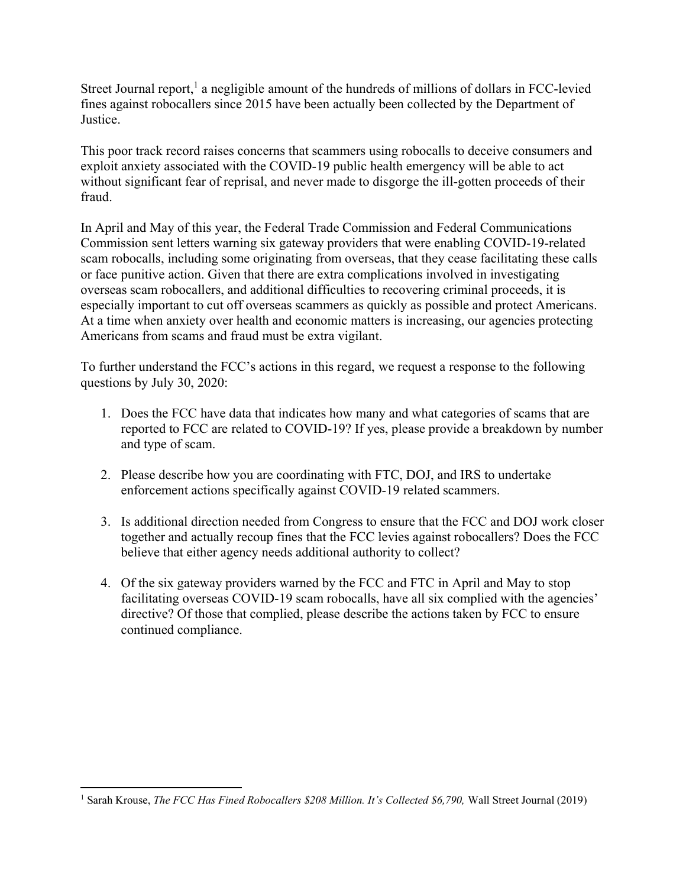Street Journal report,<sup>1</sup> a negligible amount of the hundreds of millions of dollars in FCC-levied fines against robocallers since 2015 have been actually been collected by the Department of Justice.

This poor track record raises concerns that scammers using robocalls to deceive consumers and exploit anxiety associated with the COVID-19 public health emergency will be able to act without significant fear of reprisal, and never made to disgorge the ill-gotten proceeds of their fraud.

In April and May of this year, the Federal Trade Commission and Federal Communications Commission sent letters warning six gateway providers that were enabling COVID-19-related scam robocalls, including some originating from overseas, that they cease facilitating these calls or face punitive action. Given that there are extra complications involved in investigating overseas scam robocallers, and additional difficulties to recovering criminal proceeds, it is especially important to cut off overseas scammers as quickly as possible and protect Americans. At a time when anxiety over health and economic matters is increasing, our agencies protecting Americans from scams and fraud must be extra vigilant.

To further understand the FCC's actions in this regard, we request a response to the following questions by July 30, 2020:

- 1. Does the FCC have data that indicates how many and what categories of scams that are reported to FCC are related to COVID-19? If yes, please provide a breakdown by number and type of scam.
- 2. Please describe how you are coordinating with FTC, DOJ, and IRS to undertake enforcement actions specifically against COVID-19 related scammers.
- 3. Is additional direction needed from Congress to ensure that the FCC and DOJ work closer together and actually recoup fines that the FCC levies against robocallers? Does the FCC believe that either agency needs additional authority to collect?
- 4. Of the six gateway providers warned by the FCC and FTC in April and May to stop facilitating overseas COVID-19 scam robocalls, have all six complied with the agencies' directive? Of those that complied, please describe the actions taken by FCC to ensure continued compliance.

<sup>&</sup>lt;sup>1</sup> Sarah Krouse, The FCC Has Fined Robocallers \$208 Million. It's Collected \$6,790, Wall Street Journal (2019)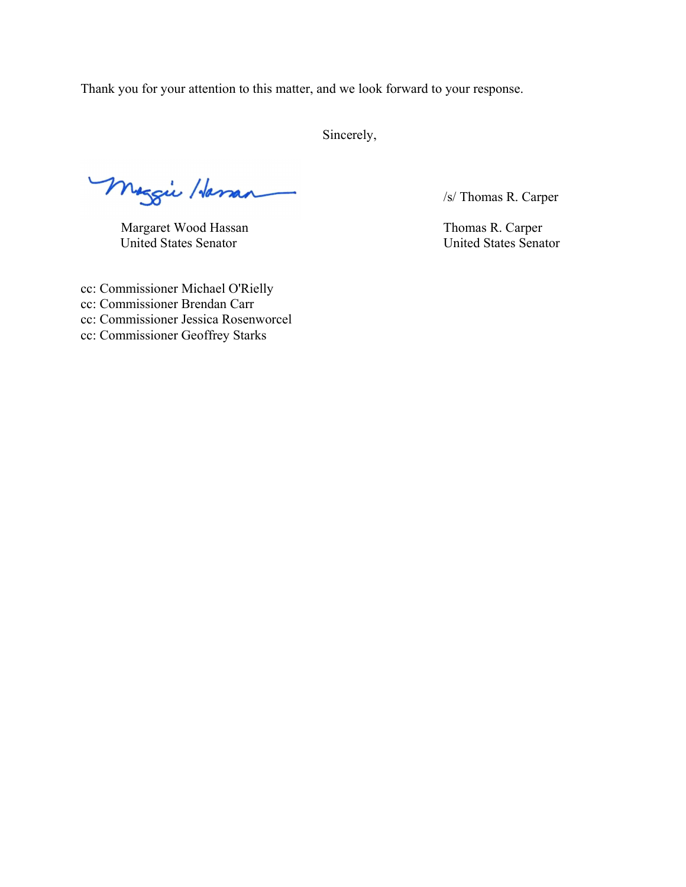Thank you for your attention to this matter, and we look forward to your response.

Sincerely,

Meggie Harran 15/ Thomas R. Carper

Margaret Wood Hassan Thomas R. Carper United States Senator United States Senator

cc: Commissioner Michael O'Rielly cc: Commissioner Brendan Carr cc: Commissioner Jessica Rosenworcel cc: Commissioner Geoffrey Starks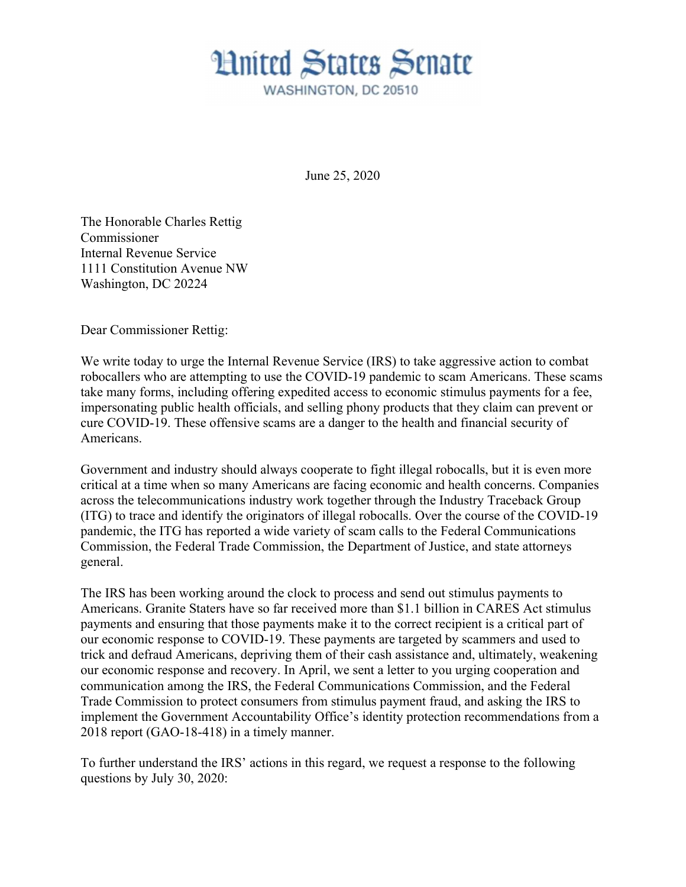June 25, 2020

The Honorable Charles Rettig Commissioner Internal Revenue Service 1111 Constitution Avenue NW Washington, DC 20224

Dear Commissioner Rettig:

We write today to urge the Internal Revenue Service (IRS) to take aggressive action to combat robocallers who are attempting to use the COVID-19 pandemic to scam Americans. These scams take many forms, including offering expedited access to economic stimulus payments for a fee, impersonating public health officials, and selling phony products that they claim can prevent or cure COVID-19. These offensive scams are a danger to the health and financial security of Americans.

Government and industry should always cooperate to fight illegal robocalls, but it is even more critical at a time when so many Americans are facing economic and health concerns. Companies across the telecommunications industry work together through the Industry Traceback Group (ITG) to trace and identify the originators of illegal robocalls. Over the course of the COVID-19 pandemic, the ITG has reported a wide variety of scam calls to the Federal Communications Commission, the Federal Trade Commission, the Department of Justice, and state attorneys general.

The IRS has been working around the clock to process and send out stimulus payments to Americans. Granite Staters have so far received more than \$1.1 billion in CARES Act stimulus payments and ensuring that those payments make it to the correct recipient is a critical part of our economic response to COVID-19. These payments are targeted by scammers and used to trick and defraud Americans, depriving them of their cash assistance and, ultimately, weakening our economic response and recovery. In April, we sent a letter to you urging cooperation and communication among the IRS, the Federal Communications Commission, and the Federal Trade Commission to protect consumers from stimulus payment fraud, and asking the IRS to implement the Government Accountability Office's identity protection recommendations from a 2018 report (GAO-18-418) in a timely manner.

To further understand the IRS' actions in this regard, we request a response to the following questions by July 30, 2020: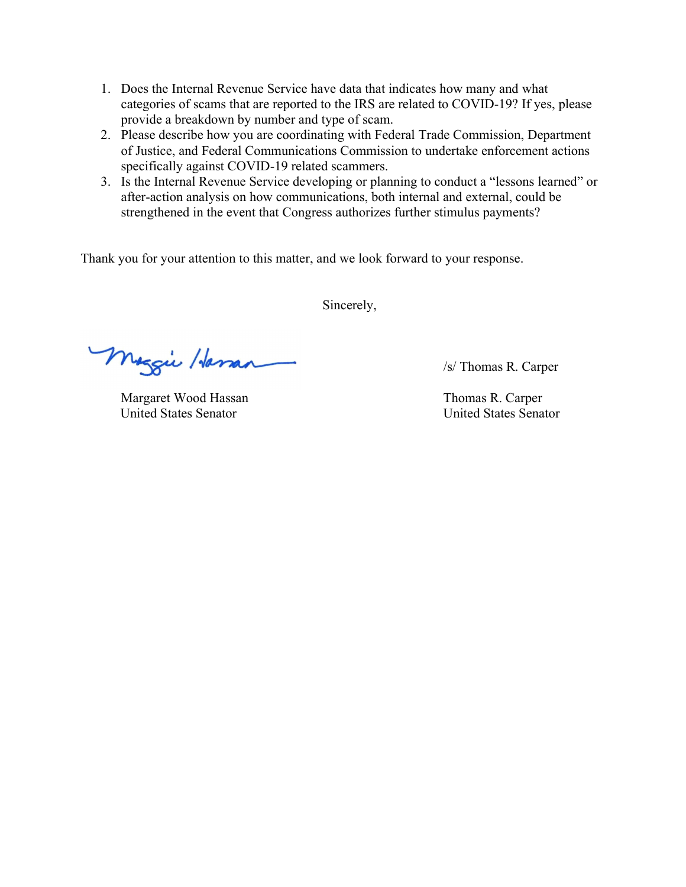- 1. Does the Internal Revenue Service have data that indicates how many and what categories of scams that are reported to the IRS are related to COVID-19? If yes, please provide a breakdown by number and type of scam.
- 2. Please describe how you are coordinating with Federal Trade Commission, Department of Justice, and Federal Communications Commission to undertake enforcement actions specifically against COVID-19 related scammers.
- 3. Is the Internal Revenue Service developing or planning to conduct a "lessons learned" or after-action analysis on how communications, both internal and external, could be strengthened in the event that Congress authorizes further stimulus payments?

Thank you for your attention to this matter, and we look forward to your response.

Sincerely,

Meggie Hassan 1s/ Thomas R. Carper

Margaret Wood Hassan Thomas R. Carper United States Senator United States Senator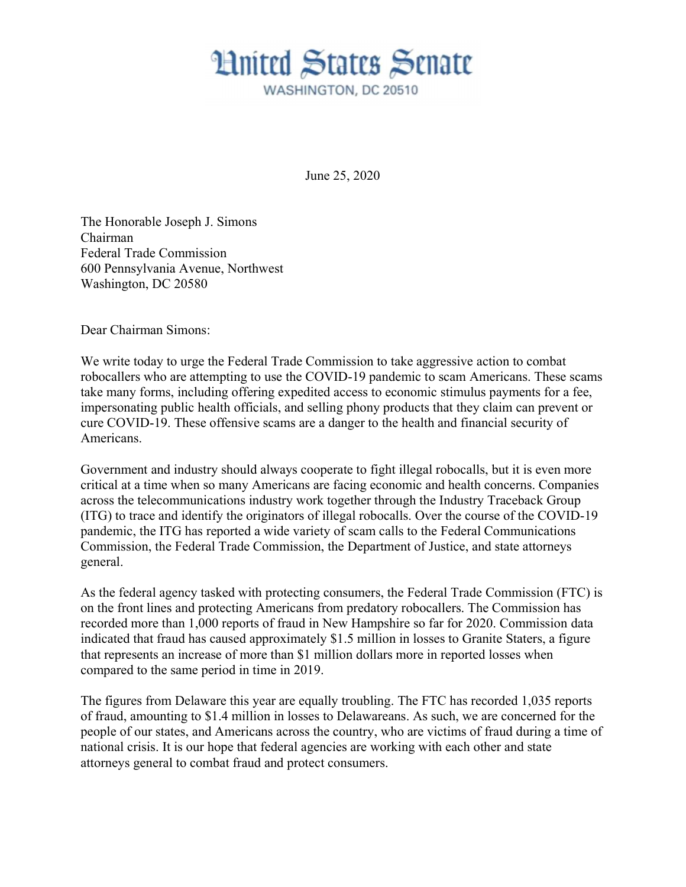June 25, 2020

The Honorable Joseph J. Simons Chairman Federal Trade Commission 600 Pennsylvania Avenue, Northwest Washington, DC 20580

Dear Chairman Simons:

We write today to urge the Federal Trade Commission to take aggressive action to combat robocallers who are attempting to use the COVID-19 pandemic to scam Americans. These scams take many forms, including offering expedited access to economic stimulus payments for a fee, impersonating public health officials, and selling phony products that they claim can prevent or cure COVID-19. These offensive scams are a danger to the health and financial security of Americans.

Government and industry should always cooperate to fight illegal robocalls, but it is even more critical at a time when so many Americans are facing economic and health concerns. Companies across the telecommunications industry work together through the Industry Traceback Group (ITG) to trace and identify the originators of illegal robocalls. Over the course of the COVID-19 pandemic, the ITG has reported a wide variety of scam calls to the Federal Communications Commission, the Federal Trade Commission, the Department of Justice, and state attorneys general.

As the federal agency tasked with protecting consumers, the Federal Trade Commission (FTC) is on the front lines and protecting Americans from predatory robocallers. The Commission has recorded more than 1,000 reports of fraud in New Hampshire so far for 2020. Commission data indicated that fraud has caused approximately \$1.5 million in losses to Granite Staters, a figure that represents an increase of more than \$1 million dollars more in reported losses when compared to the same period in time in 2019.

The figures from Delaware this year are equally troubling. The FTC has recorded 1,035 reports of fraud, amounting to \$1.4 million in losses to Delawareans. As such, we are concerned for the people of our states, and Americans across the country, who are victims of fraud during a time of national crisis. It is our hope that federal agencies are working with each other and state attorneys general to combat fraud and protect consumers.